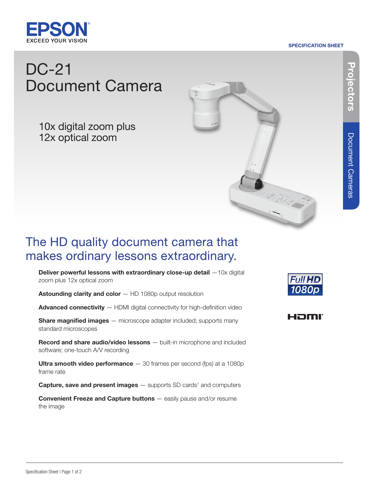

#### SPECIFICATION SHEET

# DC-21 Document Camera

10x digital zoom plus 12x optical zoom



## The HD quality document camera that makes ordinary lessons extraordinary.

Deliver powerful lessons with extraordinary close-up detail  $-10x$  digital zoom plus 12x optical zoom

Astounding clarity and color  $-$  HD 1080p output resolution

Advanced connectivity - HDMI digital connectivity for high-definition video

**Share magnified images** — microscope adapter included; supports many standard microscopes

Record and share audio/video lessons — built-in microphone and included software; one-touch A/V recording

Ultra smooth video performance  $-30$  frames per second (fps) at a 1080p frame rate

**Capture, save and present images**  $-$  supports SD cards<sup>1</sup> and computers

**Convenient Freeze and Capture buttons**  $-$  easily pause and/or resume the image





Document Cameras

Document Cameras